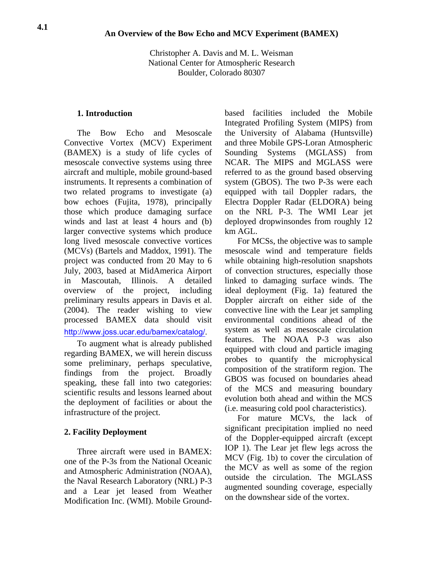Christopher A. Davis and M. L. Weisman National Center for Atmospheric Research Boulder, Colorado 80307

### **1. Introduction**

The Bow Echo and Mesoscale Convective Vortex (MCV) Experiment (BAMEX) is a study of life cycles of mesoscale convective systems using three aircraft and multiple, mobile ground-based instruments. It represents a combination of two related programs to investigate (a) bow echoes (Fujita, 1978), principally those which produce damaging surface winds and last at least 4 hours and (b) larger convective systems which produce long lived mesoscale convective vortices (MCVs) (Bartels and Maddox, 1991). The project was conducted from 20 May to 6 July, 2003, based at MidAmerica Airport in Mascoutah, Illinois. A detailed overview of the project, including preliminary results appears in Davis et al. (2004). The reader wishing to view processed BAMEX data should visit <http://www.joss.ucar.edu/bamex/catalog/>.

To augment what is already published regarding BAMEX, we will herein discuss some preliminary, perhaps speculative, findings from the project. Broadly speaking, these fall into two categories: scientific results and lessons learned about the deployment of facilities or about the infrastructure of the project.

# **2. Facility Deployment**

Three aircraft were used in BAMEX: one of the P-3s from the National Oceanic and Atmospheric Administration (NOAA), the Naval Research Laboratory (NRL) P-3 and a Lear jet leased from Weather Modification Inc. (WMI). Mobile Groundbased facilities included the Mobile Integrated Profiling System (MIPS) from the University of Alabama (Huntsville) and three Mobile GPS-Loran Atmospheric Sounding Systems (MGLASS) from NCAR. The MIPS and MGLASS were referred to as the ground based observing system (GBOS). The two P-3s were each equipped with tail Doppler radars, the Electra Doppler Radar (ELDORA) being on the NRL P-3. The WMI Lear jet deployed dropwinsondes from roughly 12 km AGL.

For MCSs, the objective was to sample mesoscale wind and temperature fields while obtaining high-resolution snapshots of convection structures, especially those linked to damaging surface winds. The ideal deployment (Fig. 1a) featured the Doppler aircraft on either side of the convective line with the Lear jet sampling environmental conditions ahead of the system as well as mesoscale circulation features. The NOAA P-3 was also equipped with cloud and particle imaging probes to quantify the microphysical composition of the stratiform region. The GBOS was focused on boundaries ahead of the MCS and measuring boundary evolution both ahead and within the MCS (i.e. measuring cold pool characteristics).

For mature MCVs, the lack of significant precipitation implied no need of the Doppler-equipped aircraft (except IOP 1). The Lear jet flew legs across the MCV (Fig. 1b) to cover the circulation of the MCV as well as some of the region outside the circulation. The MGLASS augmented sounding coverage, especially on the downshear side of the vortex.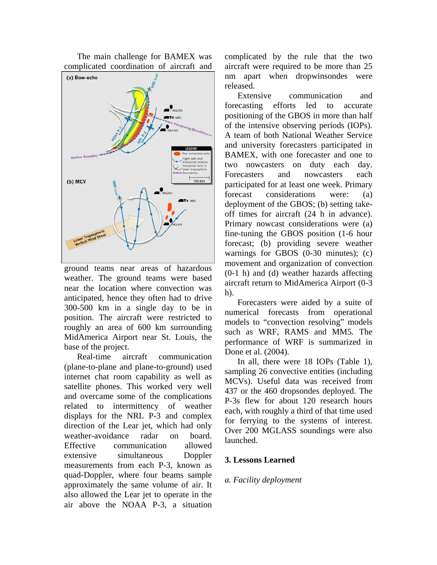The main challenge for BAMEX was complicated coordination of aircraft and



ground teams near areas of hazardous weather. The ground teams were based near the location where convection was anticipated, hence they often had to drive 300-500 km in a single day to be in position. The aircraft were restricted to roughly an area of 600 km surrounding MidAmerica Airport near St. Louis, the base of the project.

Real-time aircraft communication (plane-to-plane and plane-to-ground) used internet chat room capability as well as satellite phones. This worked very well and overcame some of the complications related to intermittency of weather displays for the NRL P-3 and complex direction of the Lear jet, which had only weather-avoidance radar on board. Effective communication allowed extensive simultaneous Doppler measurements from each P-3, known as quad-Doppler, where four beams sample approximately the same volume of air. It also allowed the Lear jet to operate in the air above the NOAA P-3, a situation complicated by the rule that the two aircraft were required to be more than 25 nm apart when dropwinsondes were released.

Extensive communication and forecasting efforts led to accurate positioning of the GBOS in more than half of the intensive observing periods (IOPs). A team of both National Weather Service and university forecasters participated in BAMEX, with one forecaster and one to two nowcasters on duty each day. Forecasters and nowcasters each participated for at least one week. Primary forecast considerations were: (a) deployment of the GBOS; (b) setting takeoff times for aircraft (24 h in advance). Primary nowcast considerations were (a) fine-tuning the GBOS position (1-6 hour forecast; (b) providing severe weather warnings for GBOS (0-30 minutes); (c) movement and organization of convection (0-1 h) and (d) weather hazards affecting aircraft return to MidAmerica Airport (0-3 h).

Forecasters were aided by a suite of numerical forecasts from operational models to "convection resolving" models such as WRF, RAMS and MM5. The performance of WRF is summarized in Done et al. (2004).

In all, there were 18 IOPs (Table 1), sampling 26 convective entities (including) MCVs). Useful data was received from 437 or the 460 dropsondes deployed. The P-3s flew for about 120 research hours each, with roughly a third of that time used for ferrying to the systems of interest. Over 200 MGLASS soundings were also launched.

## **3. Lessons Learned**

#### *a. Facility deployment*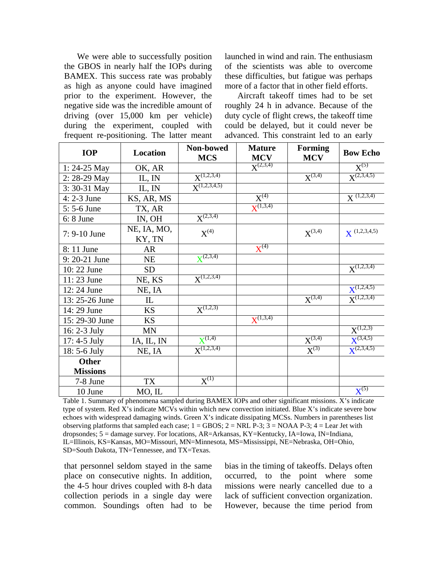We were able to successfully position the GBOS in nearly half the IOPs during BAMEX. This success rate was probably as high as anyone could have imagined prior to the experiment. However, the negative side was the incredible amount of driving (over 15,000 km per vehicle) during the experiment, coupled with frequent re-positioning. The latter meant launched in wind and rain. The enthusiasm of the scientists was able to overcome these difficulties, but fatigue was perhaps more of a factor that in other field efforts.

Aircraft takeoff times had to be set roughly 24 h in advance. Because of the duty cycle of flight crews, the takeoff time could be delayed, but it could never be advanced. This constraint led to an early

| <b>IOP</b>      | Location              | Non-bowed<br><b>MCS</b> | <b>Mature</b><br><b>MCV</b> | <b>Forming</b><br><b>MCV</b> | <b>Bow Echo</b>      |
|-----------------|-----------------------|-------------------------|-----------------------------|------------------------------|----------------------|
| $1: 24-25$ May  | OK, AR                |                         | $X^{(2,3,4)}$               |                              | $\overline{X^{(5)}}$ |
| 2: 28-29 May    | IL, IN                | $X^{(1,2,3,4)}$         |                             | $X^{(3,4)}$                  | $X^{(2,3,4,5)}$      |
| 3: 30-31 May    | IL, IN                | $X^{(1,2,3,4,5)}$       |                             |                              |                      |
| 4: 2-3 June     | KS, AR, MS            |                         | $X^{(4)}$                   |                              | $X^{(1,2,3,4)}$      |
| 5: 5-6 June     | TX, AR                |                         | ${\bf X}^{(1,3,4)}$         |                              |                      |
| $6: 8$ June     | IN, OH                | $X^{(2,3,4)}$           |                             |                              |                      |
| 7: 9-10 June    | NE, IA, MO,<br>KY, TN | $X^{(4)}$               |                             | $X^{(3,4)}$                  | $X^{(1,2,3,4,5)}$    |
| 8:11 June       | <b>AR</b>             |                         | $X^{(4)}$                   |                              |                      |
| 9: 20-21 June   | <b>NE</b>             | $X^{(2,3,4)}$           |                             |                              |                      |
| 10:22 June      | <b>SD</b>             |                         |                             |                              | $X^{(1,2,3,4)}$      |
| 11:23 June      | NE, KS                | $X^{(1,2,3,4)}$         |                             |                              |                      |
| 12:24 June      | NE, IA                |                         |                             |                              | $X^{(1,2,4,5)}$      |
| 13: 25-26 June  | IL                    |                         |                             | $X^{(3,4)}$                  | $X^{(1,2,3,4)}$      |
| 14:29 June      | <b>KS</b>             | $X^{(1,2,3)}$           |                             |                              |                      |
| 15: 29-30 June  | <b>KS</b>             |                         | $X^{(1,3,4)}$               |                              |                      |
| 16: 2-3 July    | <b>MN</b>             |                         |                             |                              | $X^{(1,2,3)}$        |
| $17: 4-5$ July  | IA, IL, IN            | $X^{(1,4)}$             |                             | $X^{(3,4)}$                  | $X^{(3,4,5)}$        |
| 18: 5-6 July    | NE, IA                | $X^{(1,2,3,4)}$         |                             | $X^{(3)}$                    | $X^{(2,3,4,5)}$      |
| <b>Other</b>    |                       |                         |                             |                              |                      |
| <b>Missions</b> |                       |                         |                             |                              |                      |
| 7-8 June        | <b>TX</b>             | $X^{(1)}$               |                             |                              |                      |
| 10 June         | MO, IL                |                         |                             |                              | $X^{(5)}$            |

Table 1. Summary of phenomena sampled during BAMEX IOPs and other significant missions. X's indicate type of system. Red X's indicate MCVs within which new convection initiated. Blue X's indicate severe bow echoes with widespread damaging winds. Green X's indicate dissipating MCSs. Numbers in parentheses list observing platforms that sampled each case;  $1 = GBOS$ ;  $2 = NRLP-3$ ;  $3 = NOAAP-3$ ;  $4 = Lear Jet with$ dropsondes; 5 = damage survey. For locations, AR=Arkansas, KY=Kentucky, IA=Iowa, IN=Indiana, IL=Illinois, KS=Kansas, MO=Missouri, MN=Minnesota, MS=Mississippi, NE=Nebraska, OH=Ohio, SD=South Dakota, TN=Tennessee, and TX=Texas.

that personnel seldom stayed in the same place on consecutive nights. In addition, the 4-5 hour drives coupled with 8-h data collection periods in a single day were common. Soundings often had to be bias in the timing of takeoffs. Delays often occurred, to the point where some missions were nearly cancelled due to a lack of sufficient convection organization. However, because the time period from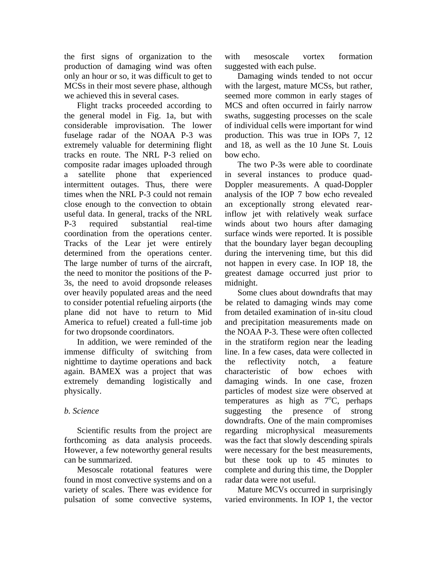the first signs of organization to the production of damaging wind was often only an hour or so, it was difficult to get to MCSs in their most severe phase, although we achieved this in several cases.

Flight tracks proceeded according to the general model in Fig. 1a, but with considerable improvisation. The lower fuselage radar of the NOAA P-3 was extremely valuable for determining flight tracks en route. The NRL P-3 relied on composite radar images uploaded through a satellite phone that experienced intermittent outages. Thus, there were times when the NRL P-3 could not remain close enough to the convection to obtain useful data. In general, tracks of the NRL P-3 required substantial real-time coordination from the operations center. Tracks of the Lear jet were entirely determined from the operations center. The large number of turns of the aircraft, the need to monitor the positions of the P-3s, the need to avoid dropsonde releases over heavily populated areas and the need to consider potential refueling airports (the plane did not have to return to Mid America to refuel) created a full-time job for two dropsonde coordinators.

In addition, we were reminded of the immense difficulty of switching from nighttime to daytime operations and back again. BAMEX was a project that was extremely demanding logistically and physically.

## *b. Science*

Scientific results from the project are forthcoming as data analysis proceeds. However, a few noteworthy general results can be summarized.

Mesoscale rotational features were found in most convective systems and on a variety of scales. There was evidence for pulsation of some convective systems,

with mesoscale vortex formation suggested with each pulse.

Damaging winds tended to not occur with the largest, mature MCSs, but rather, seemed more common in early stages of MCS and often occurred in fairly narrow swaths, suggesting processes on the scale of individual cells were important for wind production. This was true in IOPs 7, 12 and 18, as well as the 10 June St. Louis bow echo.

The two P-3s were able to coordinate in several instances to produce quad-Doppler measurements. A quad-Doppler analysis of the IOP 7 bow echo revealed an exceptionally strong elevated rearinflow jet with relatively weak surface winds about two hours after damaging surface winds were reported. It is possible that the boundary layer began decoupling during the intervening time, but this did not happen in every case. In IOP 18, the greatest damage occurred just prior to midnight.

Some clues about downdrafts that may be related to damaging winds may come from detailed examination of in-situ cloud and precipitation measurements made on the NOAA P-3. These were often collected in the stratiform region near the leading line. In a few cases, data were collected in the reflectivity notch, a feature characteristic of bow echoes with damaging winds. In one case, frozen particles of modest size were observed at temperatures as high as  $7^{\circ}$ C, perhaps suggesting the presence of strong downdrafts. One of the main compromises regarding microphysical measurements was the fact that slowly descending spirals were necessary for the best measurements, but these took up to 45 minutes to complete and during this time, the Doppler radar data were not useful.

Mature MCVs occurred in surprisingly varied environments. In IOP 1, the vector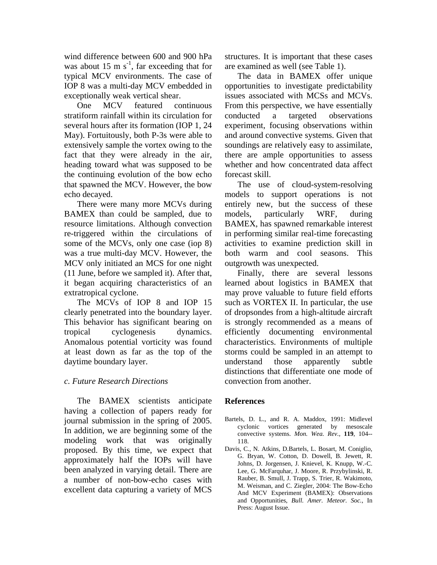wind difference between 600 and 900 hPa was about 15 m  $s^{-1}$ , far exceeding that for typical MCV environments. The case of IOP 8 was a multi-day MCV embedded in exceptionally weak vertical shear.

One MCV featured continuous stratiform rainfall within its circulation for several hours after its formation (IOP 1, 24 May). Fortuitously, both P-3s were able to extensively sample the vortex owing to the fact that they were already in the air, heading toward what was supposed to be the continuing evolution of the bow echo that spawned the MCV. However, the bow echo decayed.

There were many more MCVs during BAMEX than could be sampled, due to resource limitations. Although convection re-triggered within the circulations of some of the MCVs, only one case (iop 8) was a true multi-day MCV. However, the MCV only initiated an MCS for one night (11 June, before we sampled it). After that, it began acquiring characteristics of an extratropical cyclone.

The MCVs of IOP 8 and IOP 15 clearly penetrated into the boundary layer. This behavior has significant bearing on tropical cyclogenesis dynamics. Anomalous potential vorticity was found at least down as far as the top of the daytime boundary layer.

## *c. Future Research Directions*

The BAMEX scientists anticipate having a collection of papers ready for journal submission in the spring of 2005. In addition, we are beginning some of the modeling work that was originally proposed. By this time, we expect that approximately half the IOPs will have been analyzed in varying detail. There are a number of non-bow-echo cases with excellent data capturing a variety of MCS

structures. It is important that these cases are examined as well (see Table 1).

The data in BAMEX offer unique opportunities to investigate predictability issues associated with MCSs and MCVs. From this perspective, we have essentially conducted a targeted observations experiment, focusing observations within and around convective systems. Given that soundings are relatively easy to assimilate, there are ample opportunities to assess whether and how concentrated data affect forecast skill.

The use of cloud-system-resolving models to support operations is not entirely new, but the success of these models, particularly WRF, during BAMEX, has spawned remarkable interest in performing similar real-time forecasting activities to examine prediction skill in both warm and cool seasons. This outgrowth was unexpected.

Finally, there are several lessons learned about logistics in BAMEX that may prove valuable to future field efforts such as VORTEX II. In particular, the use of dropsondes from a high-altitude aircraft is strongly recommended as a means of efficiently documenting environmental characteristics. Environments of multiple storms could be sampled in an attempt to understand those apparently subtle distinctions that differentiate one mode of convection from another.

## **References**

- Bartels, D. L., and R. A. Maddox, 1991: Midlevel cyclonic vortices generated by mesoscale convective systems. *Mon. Wea. Rev.*, **119**, 104-- 118.
- Davis, C., N. Atkins, D.Bartels, L. Bosart, M. Coniglio, G. Bryan, W. Cotton, D. Dowell, B. Jewett, R. Johns, D. Jorgensen, J. Knievel, K. Knupp, W.-C. Lee, G. McFarquhar, J. Moore, R. Przybylinski, R. Rauber, B. Smull, J. Trapp, S. Trier, R. Wakimoto, M. Weisman, and C. Ziegler, 2004: The Bow-Echo And MCV Experiment (BAMEX): Observations and Opportunities, *Bull. Amer. Meteor. Soc.*, In Press: August Issue.